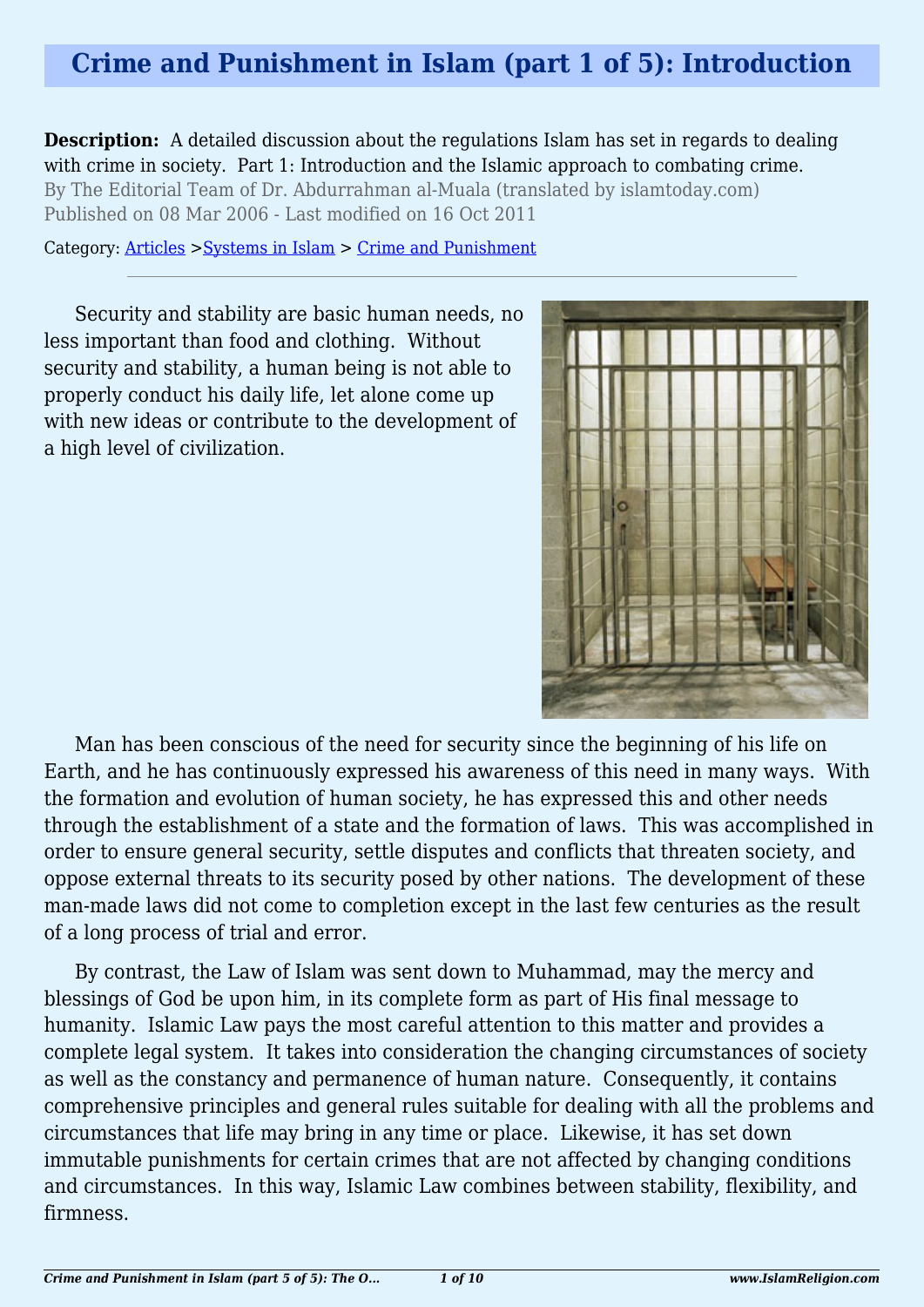# **Crime and Punishment in Islam (part 1 of 5): Introduction**

**Description:** A detailed discussion about the regulations Islam has set in regards to dealing with crime in society. Part 1: Introduction and the Islamic approach to combating crime. By The Editorial Team of Dr. Abdurrahman al-Muala (translated by islamtoday.com) Published on 08 Mar 2006 - Last modified on 16 Oct 2011

Category: [Articles](http://www.islamreligion.com/articles/) >[Systems in Islam](http://www.islamreligion.com/category/91/) > [Crime and Punishment](http://www.islamreligion.com/category/96/)

Security and stability are basic human needs, no less important than food and clothing. Without security and stability, a human being is not able to properly conduct his daily life, let alone come up with new ideas or contribute to the development of a high level of civilization.



Man has been conscious of the need for security since the beginning of his life on Earth, and he has continuously expressed his awareness of this need in many ways. With the formation and evolution of human society, he has expressed this and other needs through the establishment of a state and the formation of laws. This was accomplished in order to ensure general security, settle disputes and conflicts that threaten society, and oppose external threats to its security posed by other nations. The development of these man-made laws did not come to completion except in the last few centuries as the result of a long process of trial and error.

By contrast, the Law of Islam was sent down to Muhammad, may the mercy and blessings of God be upon him, in its complete form as part of His final message to humanity. Islamic Law pays the most careful attention to this matter and provides a complete legal system. It takes into consideration the changing circumstances of society as well as the constancy and permanence of human nature. Consequently, it contains comprehensive principles and general rules suitable for dealing with all the problems and circumstances that life may bring in any time or place. Likewise, it has set down immutable punishments for certain crimes that are not affected by changing conditions and circumstances. In this way, Islamic Law combines between stability, flexibility, and firmness.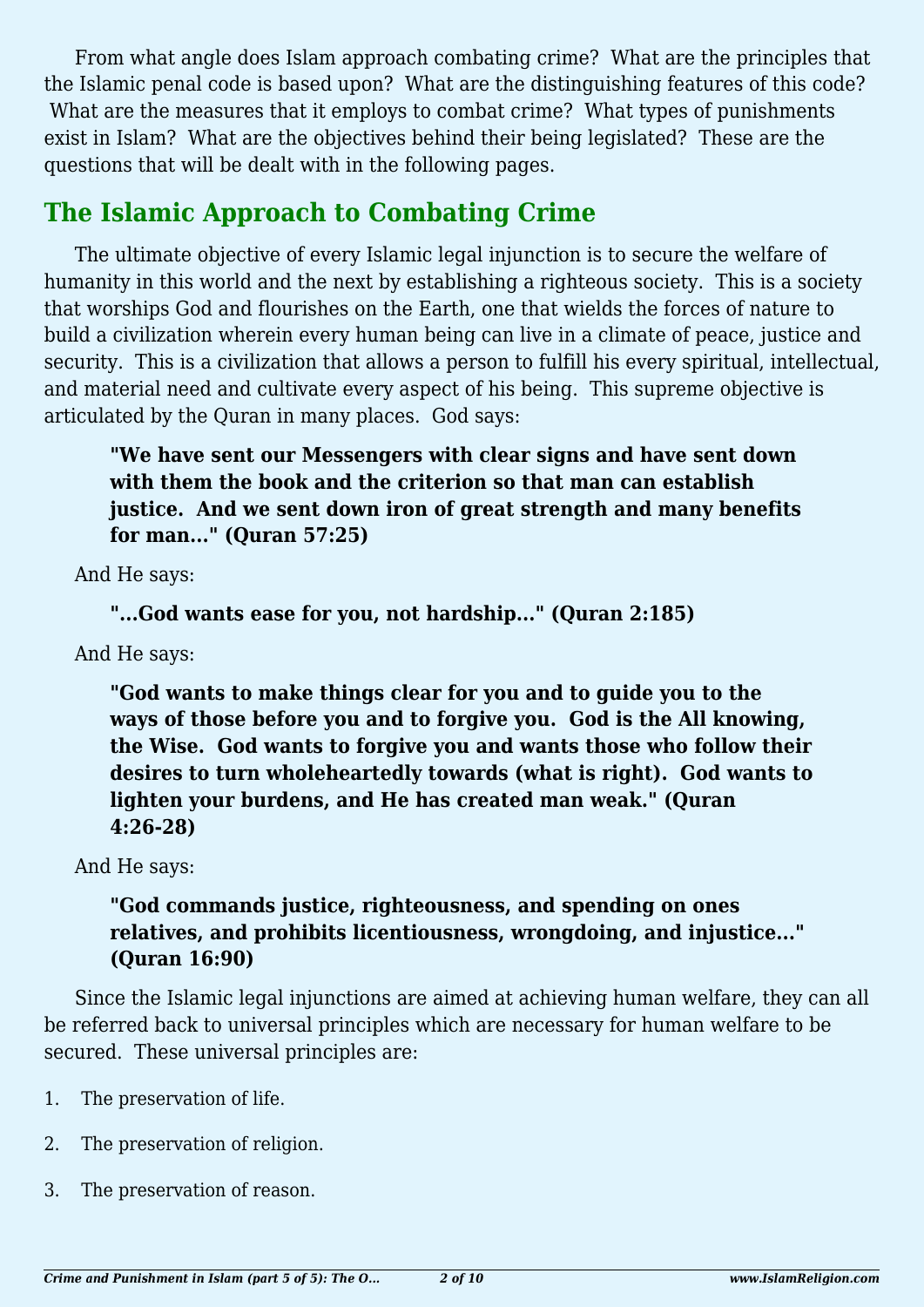From what angle does Islam approach combating crime? What are the principles that the Islamic penal code is based upon? What are the distinguishing features of this code? What are the measures that it employs to combat crime? What types of punishments exist in Islam? What are the objectives behind their being legislated? These are the questions that will be dealt with in the following pages.

## **The Islamic Approach to Combating Crime**

The ultimate objective of every Islamic legal injunction is to secure the welfare of humanity in this world and the next by establishing a righteous society. This is a society that worships God and flourishes on the Earth, one that wields the forces of nature to build a civilization wherein every human being can live in a climate of peace, justice and security. This is a civilization that allows a person to fulfill his every spiritual, intellectual, and material need and cultivate every aspect of his being. This supreme objective is articulated by the Quran in many places. God says:

**"We have sent our Messengers with clear signs and have sent down with them the book and the criterion so that man can establish justice. And we sent down iron of great strength and many benefits for man..." (Quran 57:25)**

And He says:

```
"...God wants ease for you, not hardship..." (Quran 2:185)
```
And He says:

**"God wants to make things clear for you and to guide you to the ways of those before you and to forgive you. God is the All knowing, the Wise. God wants to forgive you and wants those who follow their desires to turn wholeheartedly towards (what is right). God wants to lighten your burdens, and He has created man weak." (Quran 4:26-28)**

And He says:

### **"God commands justice, righteousness, and spending on ones relatives, and prohibits licentiousness, wrongdoing, and injustice..." (Quran 16:90)**

Since the Islamic legal injunctions are aimed at achieving human welfare, they can all be referred back to universal principles which are necessary for human welfare to be secured. These universal principles are:

- 1. The preservation of life.
- 2. The preservation of religion.
- 3. The preservation of reason.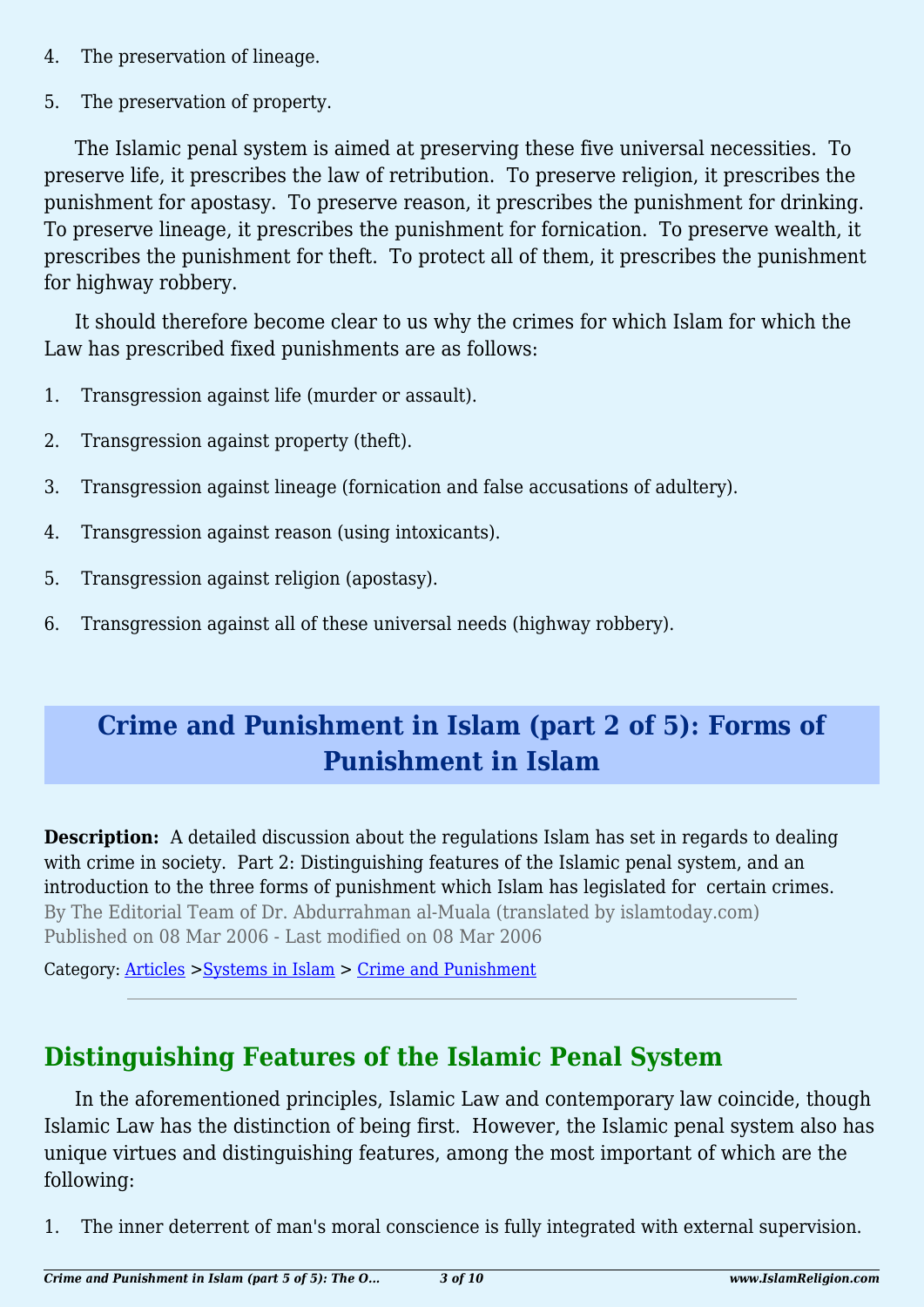- 4. The preservation of lineage.
- 5. The preservation of property.

The Islamic penal system is aimed at preserving these five universal necessities. To preserve life, it prescribes the law of retribution. To preserve religion, it prescribes the punishment for apostasy. To preserve reason, it prescribes the punishment for drinking. To preserve lineage, it prescribes the punishment for fornication. To preserve wealth, it prescribes the punishment for theft. To protect all of them, it prescribes the punishment for highway robbery.

It should therefore become clear to us why the crimes for which Islam for which the Law has prescribed fixed punishments are as follows:

- 1. Transgression against life (murder or assault).
- 2. Transgression against property (theft).
- 3. Transgression against lineage (fornication and false accusations of adultery).
- 4. Transgression against reason (using intoxicants).
- 5. Transgression against religion (apostasy).
- 6. Transgression against all of these universal needs (highway robbery).

# **Crime and Punishment in Islam (part 2 of 5): Forms of Punishment in Islam**

**Description:** A detailed discussion about the regulations Islam has set in regards to dealing with crime in society. Part 2: Distinguishing features of the Islamic penal system, and an introduction to the three forms of punishment which Islam has legislated for certain crimes. By The Editorial Team of Dr. Abdurrahman al-Muala (translated by islamtoday.com) Published on 08 Mar 2006 - Last modified on 08 Mar 2006

Category: [Articles](http://www.islamreligion.com/articles/) >[Systems in Islam](http://www.islamreligion.com/category/91/) > [Crime and Punishment](http://www.islamreligion.com/category/96/)

# **Distinguishing Features of the Islamic Penal System**

In the aforementioned principles, Islamic Law and contemporary law coincide, though Islamic Law has the distinction of being first. However, the Islamic penal system also has unique virtues and distinguishing features, among the most important of which are the following:

1. The inner deterrent of man's moral conscience is fully integrated with external supervision.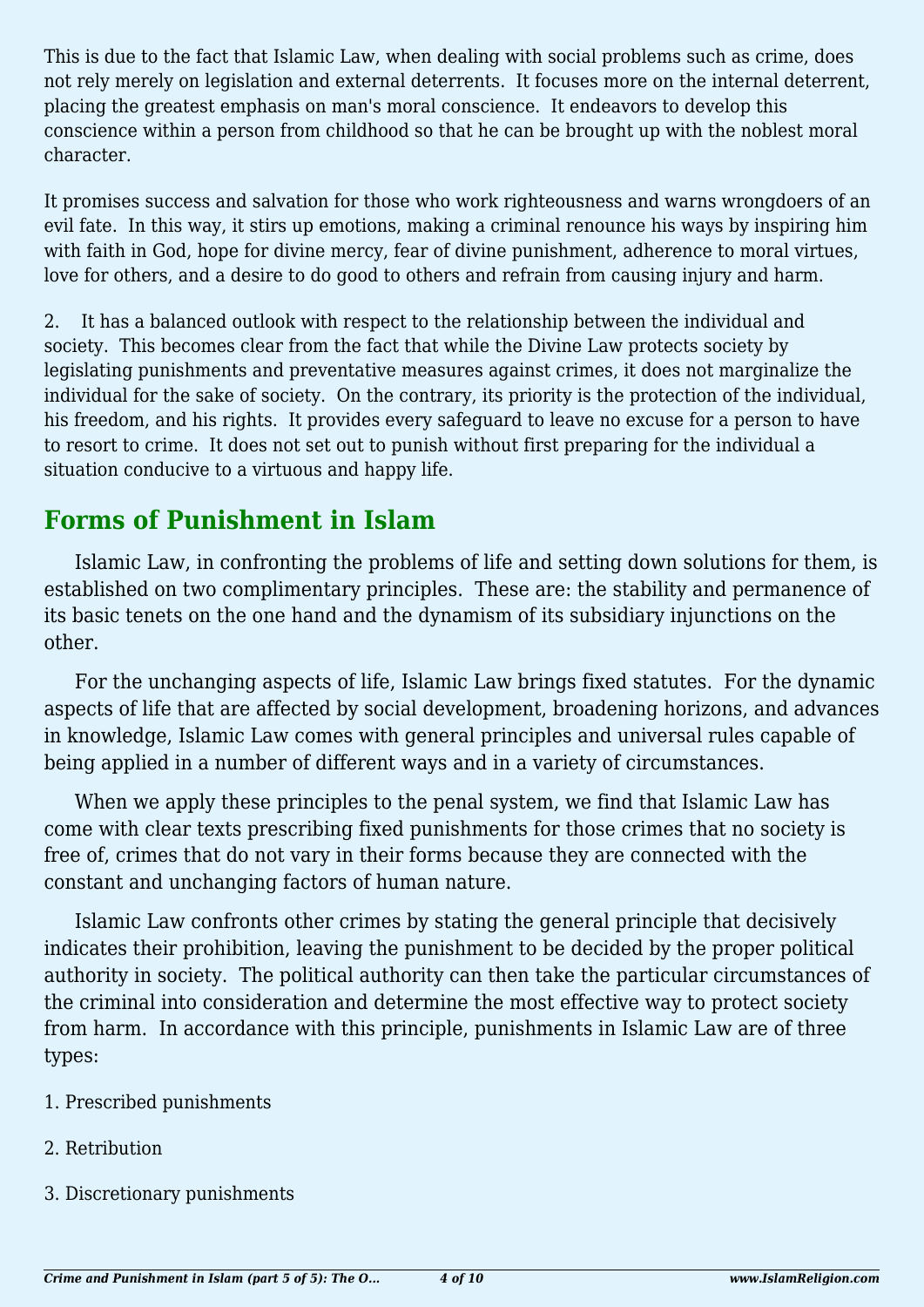This is due to the fact that Islamic Law, when dealing with social problems such as crime, does not rely merely on legislation and external deterrents. It focuses more on the internal deterrent, placing the greatest emphasis on man's moral conscience. It endeavors to develop this conscience within a person from childhood so that he can be brought up with the noblest moral character.

It promises success and salvation for those who work righteousness and warns wrongdoers of an evil fate. In this way, it stirs up emotions, making a criminal renounce his ways by inspiring him with faith in God, hope for divine mercy, fear of divine punishment, adherence to moral virtues, love for others, and a desire to do good to others and refrain from causing injury and harm.

2. It has a balanced outlook with respect to the relationship between the individual and society. This becomes clear from the fact that while the Divine Law protects society by legislating punishments and preventative measures against crimes, it does not marginalize the individual for the sake of society. On the contrary, its priority is the protection of the individual, his freedom, and his rights. It provides every safeguard to leave no excuse for a person to have to resort to crime. It does not set out to punish without first preparing for the individual a situation conducive to a virtuous and happy life.

## **Forms of Punishment in Islam**

Islamic Law, in confronting the problems of life and setting down solutions for them, is established on two complimentary principles. These are: the stability and permanence of its basic tenets on the one hand and the dynamism of its subsidiary injunctions on the other.

For the unchanging aspects of life, Islamic Law brings fixed statutes. For the dynamic aspects of life that are affected by social development, broadening horizons, and advances in knowledge, Islamic Law comes with general principles and universal rules capable of being applied in a number of different ways and in a variety of circumstances.

When we apply these principles to the penal system, we find that Islamic Law has come with clear texts prescribing fixed punishments for those crimes that no society is free of, crimes that do not vary in their forms because they are connected with the constant and unchanging factors of human nature.

Islamic Law confronts other crimes by stating the general principle that decisively indicates their prohibition, leaving the punishment to be decided by the proper political authority in society. The political authority can then take the particular circumstances of the criminal into consideration and determine the most effective way to protect society from harm. In accordance with this principle, punishments in Islamic Law are of three types:

- 1. Prescribed punishments
- 2. Retribution
- 3. Discretionary punishments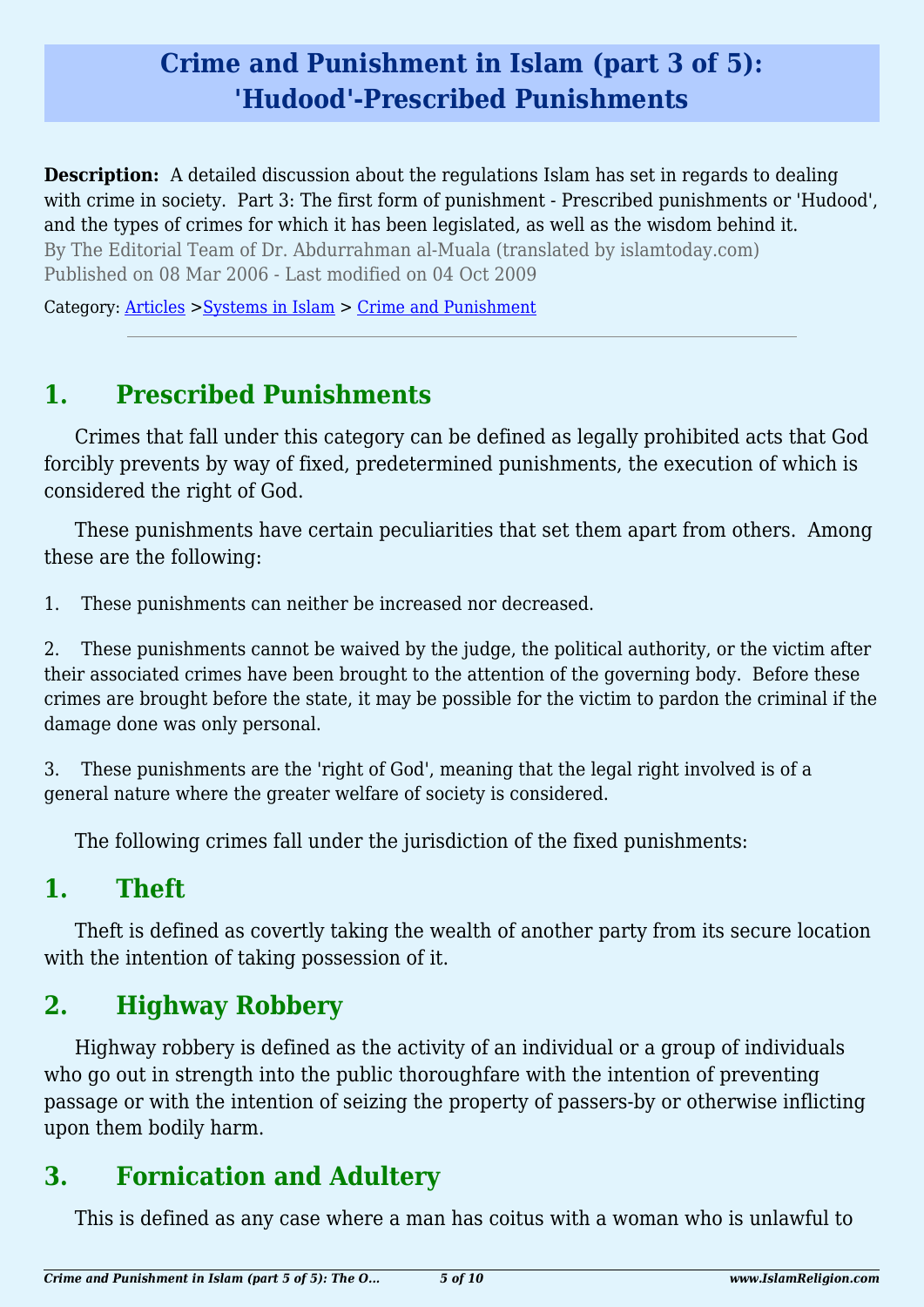# **Crime and Punishment in Islam (part 3 of 5): 'Hudood'-Prescribed Punishments**

**Description:** A detailed discussion about the regulations Islam has set in regards to dealing with crime in society. Part 3: The first form of punishment - Prescribed punishments or 'Hudood', and the types of crimes for which it has been legislated, as well as the wisdom behind it. By The Editorial Team of Dr. Abdurrahman al-Muala (translated by islamtoday.com) Published on 08 Mar 2006 - Last modified on 04 Oct 2009

Category: [Articles](http://www.islamreligion.com/articles/) >[Systems in Islam](http://www.islamreligion.com/category/91/) > [Crime and Punishment](http://www.islamreligion.com/category/96/)

## **1. Prescribed Punishments**

Crimes that fall under this category can be defined as legally prohibited acts that God forcibly prevents by way of fixed, predetermined punishments, the execution of which is considered the right of God.

These punishments have certain peculiarities that set them apart from others. Among these are the following:

1. These punishments can neither be increased nor decreased.

2. These punishments cannot be waived by the judge, the political authority, or the victim after their associated crimes have been brought to the attention of the governing body. Before these crimes are brought before the state, it may be possible for the victim to pardon the criminal if the damage done was only personal.

3. These punishments are the 'right of God', meaning that the legal right involved is of a general nature where the greater welfare of society is considered.

The following crimes fall under the jurisdiction of the fixed punishments:

## **1. Theft**

Theft is defined as covertly taking the wealth of another party from its secure location with the intention of taking possession of it.

# **2. Highway Robbery**

Highway robbery is defined as the activity of an individual or a group of individuals who go out in strength into the public thoroughfare with the intention of preventing passage or with the intention of seizing the property of passers-by or otherwise inflicting upon them bodily harm.

# **3. Fornication and Adultery**

This is defined as any case where a man has coitus with a woman who is unlawful to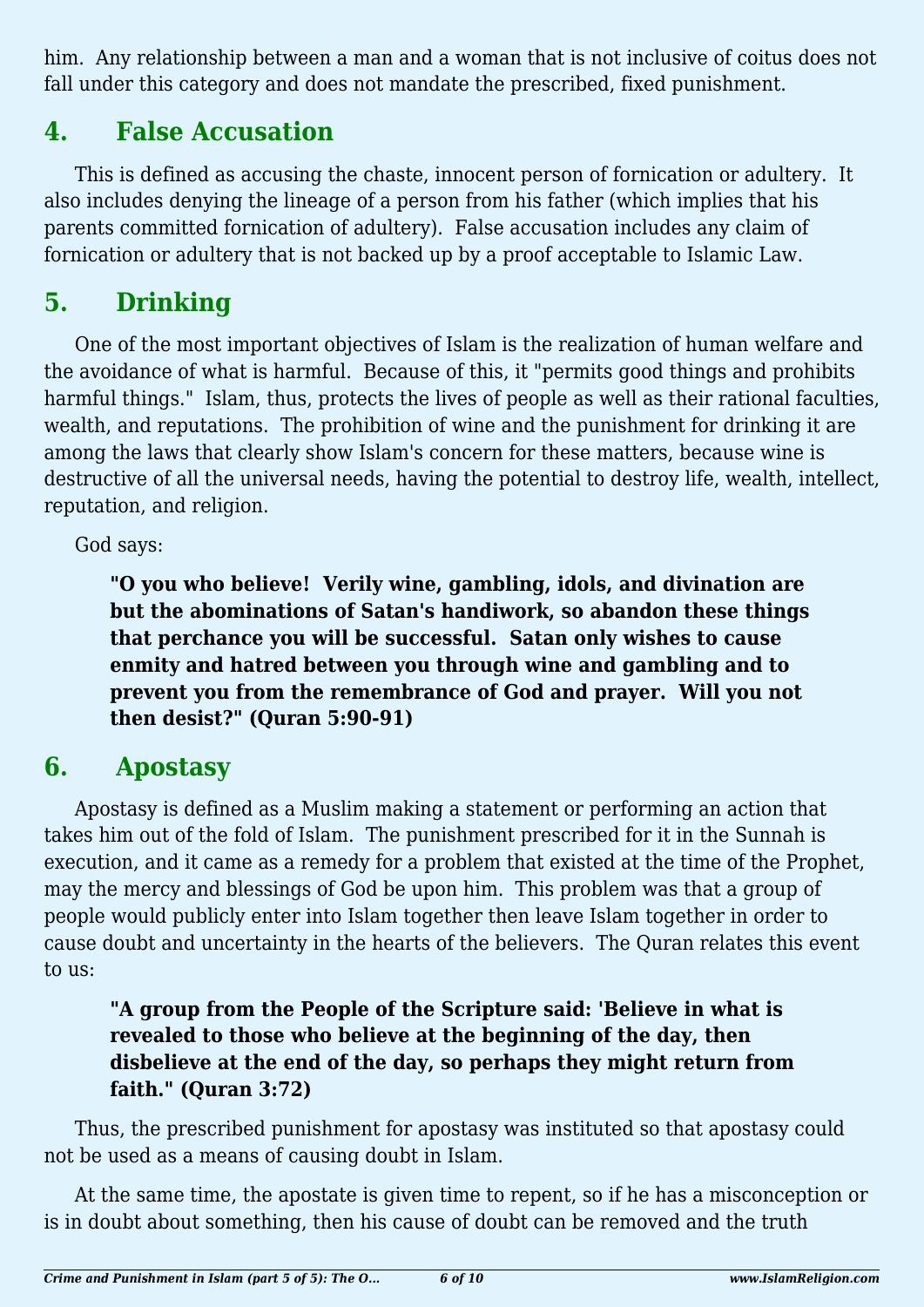him. Any relationship between a man and a woman that is not inclusive of coitus does not fall under this category and does not mandate the prescribed, fixed punishment.

# **4. False Accusation**

This is defined as accusing the chaste, innocent person of fornication or adultery. It also includes denying the lineage of a person from his father (which implies that his parents committed fornication of adultery). False accusation includes any claim of fornication or adultery that is not backed up by a proof acceptable to Islamic Law.

# **5. Drinking**

One of the most important objectives of Islam is the realization of human welfare and the avoidance of what is harmful. Because of this, it "permits good things and prohibits harmful things." Islam, thus, protects the lives of people as well as their rational faculties, wealth, and reputations. The prohibition of wine and the punishment for drinking it are among the laws that clearly show Islam's concern for these matters, because wine is destructive of all the universal needs, having the potential to destroy life, wealth, intellect, reputation, and religion.

God says:

**"O you who believe! Verily wine, gambling, idols, and divination are but the abominations of Satan's handiwork, so abandon these things that perchance you will be successful. Satan only wishes to cause enmity and hatred between you through wine and gambling and to prevent you from the remembrance of God and prayer. Will you not then desist?" (Quran 5:90-91)**

## **6. Apostasy**

Apostasy is defined as a Muslim making a statement or performing an action that takes him out of the fold of Islam. The punishment prescribed for it in the Sunnah is execution, and it came as a remedy for a problem that existed at the time of the Prophet, may the mercy and blessings of God be upon him. This problem was that a group of people would publicly enter into Islam together then leave Islam together in order to cause doubt and uncertainty in the hearts of the believers. The Quran relates this event to us:

### **"A group from the People of the Scripture said: 'Believe in what is revealed to those who believe at the beginning of the day, then disbelieve at the end of the day, so perhaps they might return from faith." (Quran 3:72)**

Thus, the prescribed punishment for apostasy was instituted so that apostasy could not be used as a means of causing doubt in Islam.

At the same time, the apostate is given time to repent, so if he has a misconception or is in doubt about something, then his cause of doubt can be removed and the truth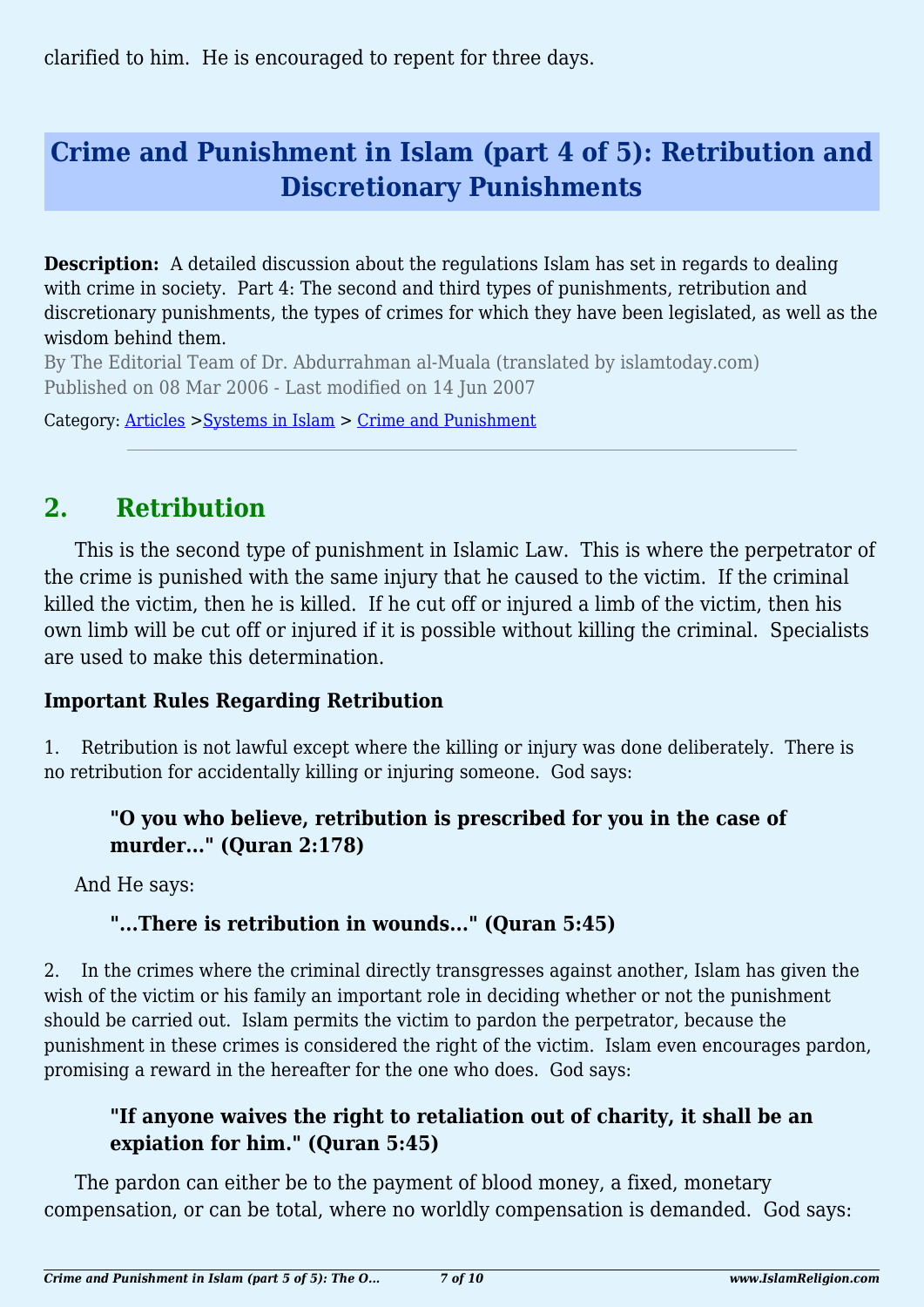clarified to him. He is encouraged to repent for three days.

# **Crime and Punishment in Islam (part 4 of 5): Retribution and Discretionary Punishments**

**Description:** A detailed discussion about the regulations Islam has set in regards to dealing with crime in society. Part 4: The second and third types of punishments, retribution and discretionary punishments, the types of crimes for which they have been legislated, as well as the wisdom behind them.

By The Editorial Team of Dr. Abdurrahman al-Muala (translated by islamtoday.com) Published on 08 Mar 2006 - Last modified on 14 Jun 2007

Category: [Articles](http://www.islamreligion.com/articles/) >[Systems in Islam](http://www.islamreligion.com/category/91/) > [Crime and Punishment](http://www.islamreligion.com/category/96/)

## **2. Retribution**

This is the second type of punishment in Islamic Law. This is where the perpetrator of the crime is punished with the same injury that he caused to the victim. If the criminal killed the victim, then he is killed. If he cut off or injured a limb of the victim, then his own limb will be cut off or injured if it is possible without killing the criminal. Specialists are used to make this determination.

### **Important Rules Regarding Retribution**

1. Retribution is not lawful except where the killing or injury was done deliberately. There is no retribution for accidentally killing or injuring someone. God says:

### **"O you who believe, retribution is prescribed for you in the case of murder..." (Quran 2:178)**

And He says:

### **"...There is retribution in wounds..." (Quran 5:45)**

2. In the crimes where the criminal directly transgresses against another, Islam has given the wish of the victim or his family an important role in deciding whether or not the punishment should be carried out. Islam permits the victim to pardon the perpetrator, because the punishment in these crimes is considered the right of the victim. Islam even encourages pardon, promising a reward in the hereafter for the one who does. God says:

#### **"If anyone waives the right to retaliation out of charity, it shall be an expiation for him." (Quran 5:45)**

The pardon can either be to the payment of blood money, a fixed, monetary compensation, or can be total, where no worldly compensation is demanded. God says: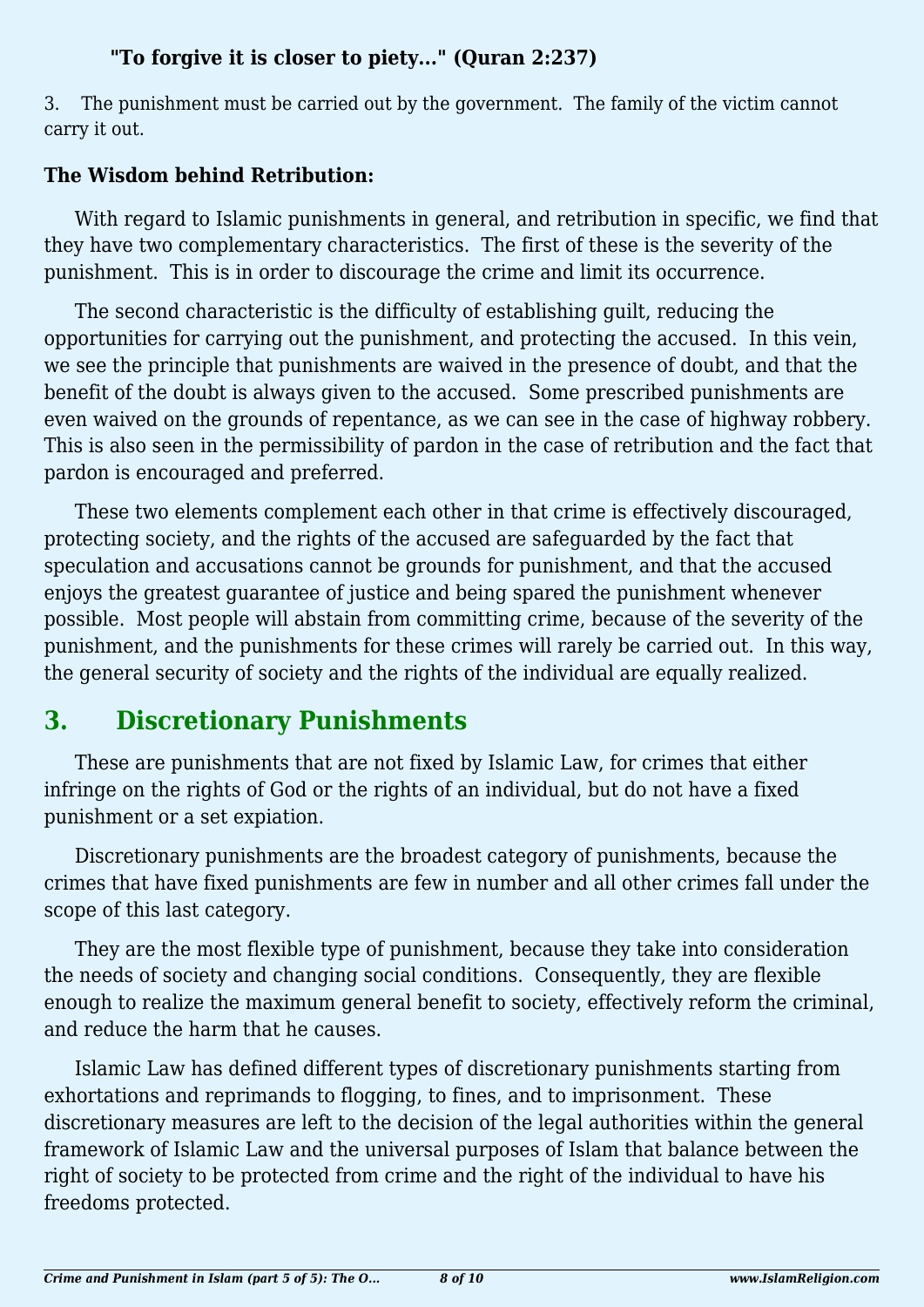### **"To forgive it is closer to piety..." (Quran 2:237)**

3. The punishment must be carried out by the government. The family of the victim cannot carry it out.

### **The Wisdom behind Retribution:**

With regard to Islamic punishments in general, and retribution in specific, we find that they have two complementary characteristics. The first of these is the severity of the punishment. This is in order to discourage the crime and limit its occurrence.

The second characteristic is the difficulty of establishing guilt, reducing the opportunities for carrying out the punishment, and protecting the accused. In this vein, we see the principle that punishments are waived in the presence of doubt, and that the benefit of the doubt is always given to the accused. Some prescribed punishments are even waived on the grounds of repentance, as we can see in the case of highway robbery. This is also seen in the permissibility of pardon in the case of retribution and the fact that pardon is encouraged and preferred.

These two elements complement each other in that crime is effectively discouraged, protecting society, and the rights of the accused are safeguarded by the fact that speculation and accusations cannot be grounds for punishment, and that the accused enjoys the greatest guarantee of justice and being spared the punishment whenever possible. Most people will abstain from committing crime, because of the severity of the punishment, and the punishments for these crimes will rarely be carried out. In this way, the general security of society and the rights of the individual are equally realized.

# **3. Discretionary Punishments**

These are punishments that are not fixed by Islamic Law, for crimes that either infringe on the rights of God or the rights of an individual, but do not have a fixed punishment or a set expiation.

Discretionary punishments are the broadest category of punishments, because the crimes that have fixed punishments are few in number and all other crimes fall under the scope of this last category.

They are the most flexible type of punishment, because they take into consideration the needs of society and changing social conditions. Consequently, they are flexible enough to realize the maximum general benefit to society, effectively reform the criminal, and reduce the harm that he causes.

Islamic Law has defined different types of discretionary punishments starting from exhortations and reprimands to flogging, to fines, and to imprisonment. These discretionary measures are left to the decision of the legal authorities within the general framework of Islamic Law and the universal purposes of Islam that balance between the right of society to be protected from crime and the right of the individual to have his freedoms protected.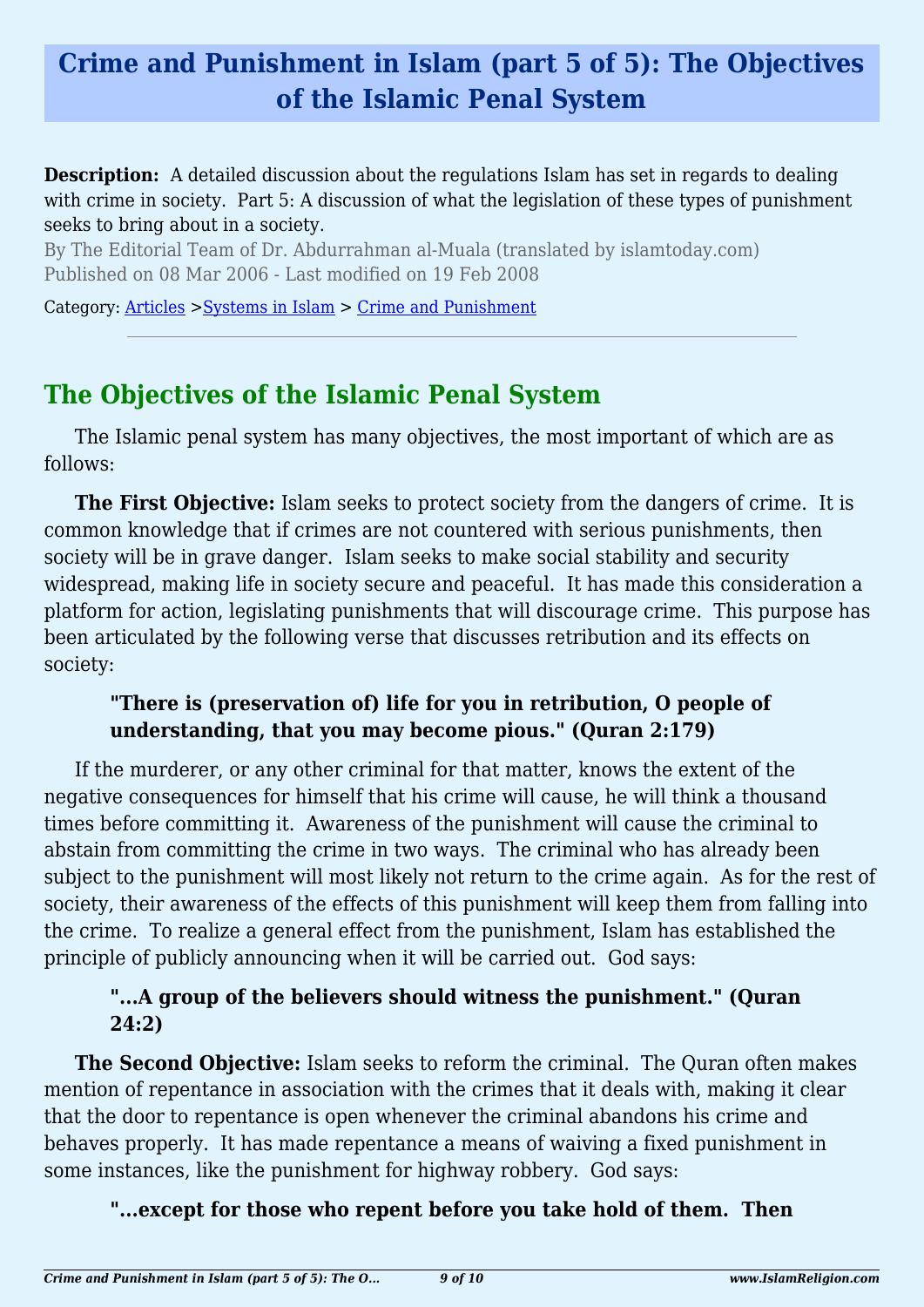## **Crime and Punishment in Islam (part 5 of 5): The Objectives of the Islamic Penal System**

**Description:** A detailed discussion about the regulations Islam has set in regards to dealing with crime in society. Part 5: A discussion of what the legislation of these types of punishment seeks to bring about in a society.

By The Editorial Team of Dr. Abdurrahman al-Muala (translated by islamtoday.com) Published on 08 Mar 2006 - Last modified on 19 Feb 2008

Category: [Articles](http://www.islamreligion.com/articles/) >[Systems in Islam](http://www.islamreligion.com/category/91/) > [Crime and Punishment](http://www.islamreligion.com/category/96/)

### **The Objectives of the Islamic Penal System**

The Islamic penal system has many objectives, the most important of which are as follows:

**The First Objective:** Islam seeks to protect society from the dangers of crime. It is common knowledge that if crimes are not countered with serious punishments, then society will be in grave danger. Islam seeks to make social stability and security widespread, making life in society secure and peaceful. It has made this consideration a platform for action, legislating punishments that will discourage crime. This purpose has been articulated by the following verse that discusses retribution and its effects on society:

#### **"There is (preservation of) life for you in retribution, O people of understanding, that you may become pious." (Quran 2:179)**

If the murderer, or any other criminal for that matter, knows the extent of the negative consequences for himself that his crime will cause, he will think a thousand times before committing it. Awareness of the punishment will cause the criminal to abstain from committing the crime in two ways. The criminal who has already been subject to the punishment will most likely not return to the crime again. As for the rest of society, their awareness of the effects of this punishment will keep them from falling into the crime. To realize a general effect from the punishment, Islam has established the principle of publicly announcing when it will be carried out. God says:

### **"...A group of the believers should witness the punishment." (Quran 24:2)**

**The Second Objective:** Islam seeks to reform the criminal. The Quran often makes mention of repentance in association with the crimes that it deals with, making it clear that the door to repentance is open whenever the criminal abandons his crime and behaves properly. It has made repentance a means of waiving a fixed punishment in some instances, like the punishment for highway robbery. God says:

#### **"...except for those who repent before you take hold of them. Then**